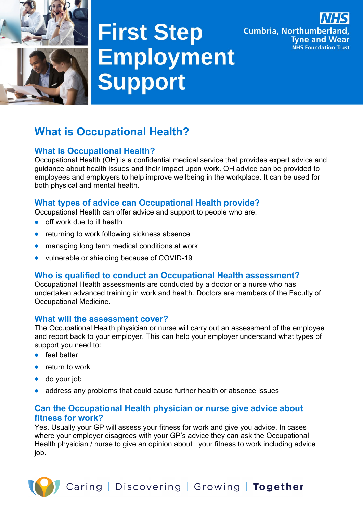

# **First Step** Employment Support

**Cumbria, Northumberland,** 

**Tyne and Wear** 

**NHS Foundation Trust** 

# **What is Occupational Health?**

# **What is Occupational Health?**

Occupational Health (OH) is a confidential medical service that provides expert advice and guidance about health issues and their impact upon work. OH advice can be provided to employees and employers to help improve wellbeing in the workplace. It can be used for both physical and mental health.

# **What types of advice can Occupational Health provide?**

Occupational Health can offer advice and support to people who are:

- off work due to ill health
- returning to work following sickness absence
- managing long term medical conditions at work
- vulnerable or shielding because of COVID-19

#### **Who is qualified to conduct an Occupational Health assessment?**

Occupational Health assessments are conducted by a doctor or a nurse who has undertaken advanced training in work and health. Doctors are members of the Faculty of Occupational Medicine.

#### **What will the assessment cover?**

The Occupational Health physician or nurse will carry out an assessment of the employee and report back to your employer. This can help your employer understand what types of support you need to:

- feel better
- return to work
- do your job
- address any problems that could cause further health or absence issues

#### **Can the Occupational Health physician or nurse give advice about fitness for work?**

Yes. Usually your GP will assess your fitness for work and give you advice. In cases where your employer disagrees with your GP's advice they can ask the Occupational Health physician / nurse to give an opinion about your fitness to work including advice job.

Caring | Discovering | Growing | Together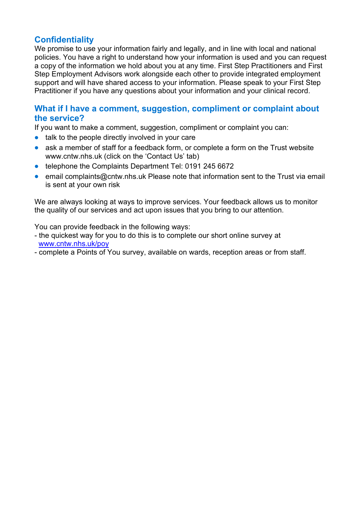# **Confidentiality**

We promise to use your information fairly and legally, and in line with local and national policies. You have a right to understand how your information is used and you can request a copy of the information we hold about you at any time. First Step Practitioners and First Step Employment Advisors work alongside each other to provide integrated employment support and will have shared access to your information. Please speak to your First Step Practitioner if you have any questions about your information and your clinical record.

#### **What if I have a comment, suggestion, compliment or complaint about the service?**

If you want to make a comment, suggestion, compliment or complaint you can:

- talk to the people directly involved in your care
- ask a member of staff for a feedback form, or complete a form on the Trust website www.cntw.nhs.uk (click on the 'Contact Us' tab)
- telephone the Complaints Department Tel: 0191 245 6672
- email complaints@cntw.nhs.uk Please note that information sent to the Trust via email is sent at your own risk

We are always looking at ways to improve services. Your feedback allows us to monitor the quality of our services and act upon issues that you bring to our attention.

You can provide feedback in the following ways:

- the quickest way for you to do this is to complete our short online survey at [www.cntw.nhs.uk/poy](http://www.cntw.nhs.uk/poy)
- complete a Points of You survey, available on wards, reception areas or from staff.